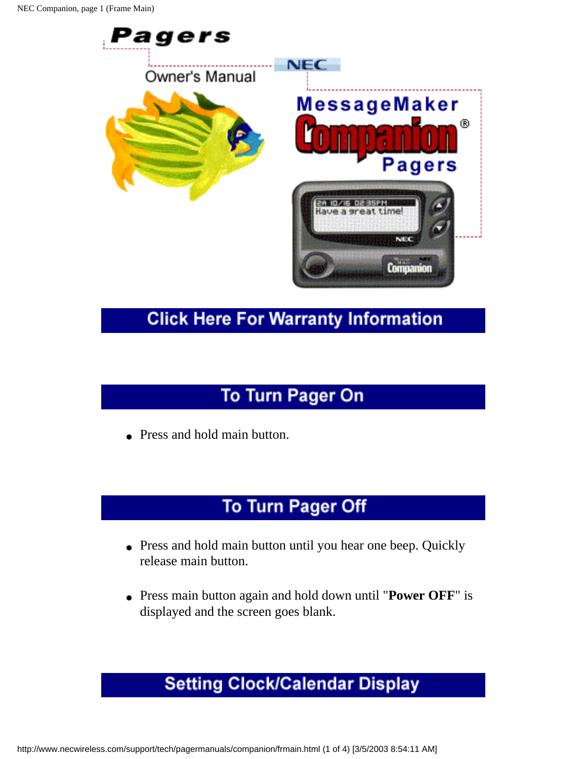

#### **Click Here For Warranty Information**

# To Turn Pager On

• Press and hold main button.

# **To Turn Pager Off**

- Press and hold main button until you hear one beep. Quickly release main button.
- Press main button again and hold down until "**Power OFF**" is displayed and the screen goes blank.

# **Setting Clock/Calendar Display**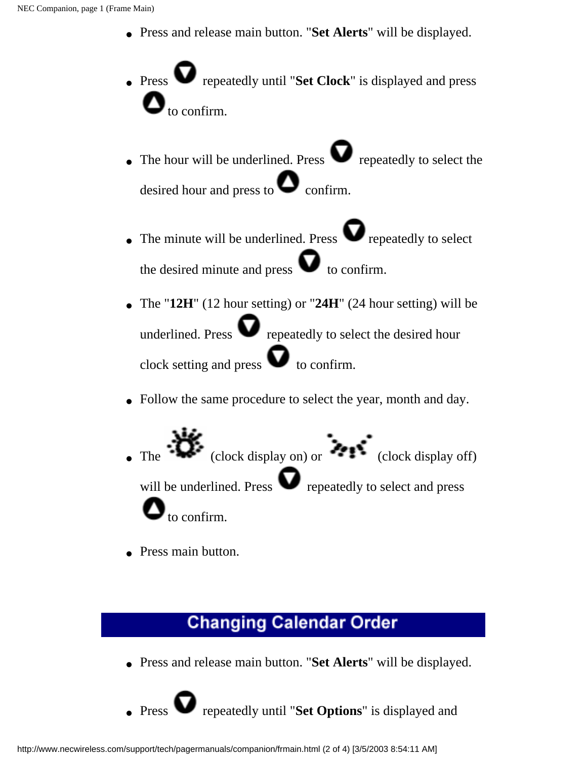- Press and release main button. "**Set Alerts**" will be displayed.
- Press **v** repeatedly until "**Set Clock**" is displayed and press to confirm.
- The hour will be underlined. Press  $\bullet$  repeatedly to select the desired hour and press to  $\bullet$  confirm.
- The minute will be underlined. Press  $\bullet$  repeatedly to select the desired minute and press  $\bullet$  to confirm.
- The "**12H**" (12 hour setting) or "**24H**" (24 hour setting) will be underlined. Press  $\bullet$  repeatedly to select the desired hour clock setting and press  $\bullet$  to confirm.
- Follow the same procedure to select the year, month and day.
- The  $\overrightarrow{ }$  (clock display on) or  $\overrightarrow{ }$  (clock display off) will be underlined. Press  $\bullet$  repeatedly to select and press to confirm.
- Press main button.

#### **Changing Calendar Order**

● Press and release main button. "**Set Alerts**" will be displayed.

**Prepeatedly until "Set Options"** is displayed and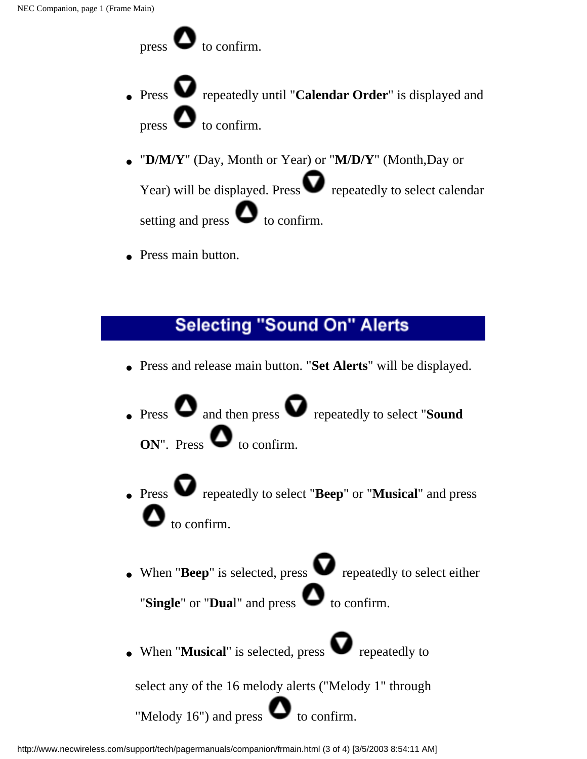press  $\bullet$  to confirm.

- Press **v** repeatedly until "**Calendar Order**" is displayed and press  $\bullet$  to confirm.
- "**D/M/Y**" (Day, Month or Year) or "**M/D/Y**" (Month,Day or Year) will be displayed. Press  $\bullet$  repeatedly to select calendar setting and press  $\bullet$  to confirm.
- Press main button.